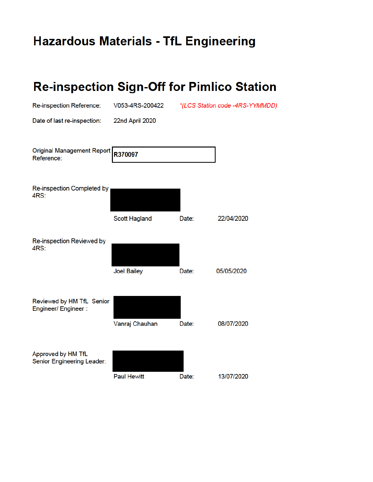## **Hazardous Materials - TfL Engineering**

| <b>Re-inspection Sign-Off for Pimlico Station</b> |                    |       |                                 |
|---------------------------------------------------|--------------------|-------|---------------------------------|
| Re-inspection Reference:                          | V053-4RS-200422    |       | *(LCS Station code -4RS-YYMMDD) |
| Date of last re-inspection:                       | 22nd April 2020    |       |                                 |
| <b>Original Management Report</b><br>Reference:   | R370097            |       |                                 |
| <b>Re-inspection Completed by</b><br>4RS:         |                    |       |                                 |
|                                                   | Scott Hagland      | Date: | 22/04/2020                      |
| <b>Re-inspection Reviewed by</b><br>4RS:          |                    |       |                                 |
|                                                   | <b>Joel Bailey</b> | Date: | 05/05/2020                      |
| Reviewed by HM TfL Senior<br>Engineer/ Engineer : |                    |       |                                 |
|                                                   | Vanraj Chauhan     | Date: | 08/07/2020                      |
| Approved by HM TfL<br>Senior Engineering Leader:  |                    |       |                                 |
|                                                   | Paul Hewitt        | Date: | 13/07/2020                      |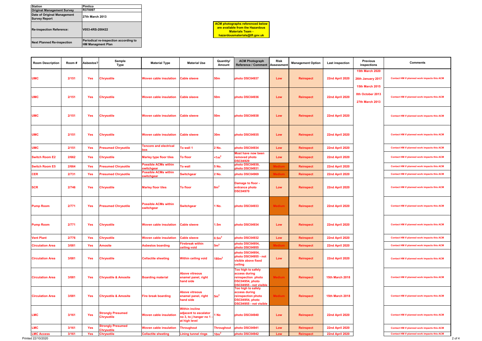| <b>Room Description</b> | Room# | Asbestos?  | Sample<br><b>Type</b>                         | <b>Material Type</b>                      | <b>Material Use</b>                                                                       | Quantity/<br>Amount     | <b>ACM Photograph</b><br><b>Reference / Comment</b>                                                    | <b>Risk</b><br><b>Assessmen</b> | <b>Management Option</b> | Last inspection        | <b>Previous</b><br>inspections                                        | <b>Comments</b>                                    |
|-------------------------|-------|------------|-----------------------------------------------|-------------------------------------------|-------------------------------------------------------------------------------------------|-------------------------|--------------------------------------------------------------------------------------------------------|---------------------------------|--------------------------|------------------------|-----------------------------------------------------------------------|----------------------------------------------------|
| <b>UMC</b>              | 2/151 | <b>Yes</b> | <b>Chrysotile</b>                             | <b>Woven cable insulation</b>             | <b>Cable sleeve</b>                                                                       | <b>50m</b>              | photo DSC04937                                                                                         | Low                             | <b>Reinspect</b>         | 22nd April 2020        | <b>15th March 2020</b><br>26th January 2017<br><b>15th March 2015</b> | Contact HM if planned work impacts this ACM        |
| <b>UMC</b>              | 2/151 | <b>Yes</b> | Chrysotile                                    | <b>Woven cable insulation</b>             | <b>Cable sleeve</b>                                                                       | <b>50m</b>              | photo DSC04936                                                                                         | Low                             | <b>Reinspect</b>         | 22nd April 2020        | 8th October 2013<br><b>27th March 2013</b>                            | Contact HM if planned work impacts this ACM        |
| <b>UMC</b>              | 2/151 | <b>Yes</b> | <b>Chrysotile</b>                             | <b>Woven cable insulation</b>             | <b>Cable sleeve</b>                                                                       | <b>50m</b>              | photo DSC04938                                                                                         | Low                             | <b>Reinspect</b>         | 22nd April 2020        |                                                                       | Contact HM if planned work impacts this ACM        |
| UMC                     | 2/151 | <b>Yes</b> | Chrysotile                                    | <b>Woven cable insulation</b>             | <b>Cable sleeve</b>                                                                       | <b>30m</b>              | photo DSC04935                                                                                         | Low                             | <b>Reinspect</b>         | <b>22nd April 2020</b> |                                                                       | Contact HM if planned work impacts this ACM        |
| <b>UMC</b>              | 2/151 | <b>Yes</b> | <b>Presumed Chrysotile</b>                    | <b>Tencore and electrical</b><br>box      | To wall 1                                                                                 | 2 No.                   | photo DSC04934                                                                                         | Low                             | <b>Reinspect</b>         | 22nd April 2020        |                                                                       | Contact HM if planned work impacts this ACM        |
| <b>Switch Room E2</b>   | 2/662 | <b>Yes</b> | <b>Chrysotile</b>                             | <b>Marley type floor tiles</b>            | To floor                                                                                  | $$\langle 1m^2 \rangle$ | Most have now been<br>removed photo<br><b>DSC04929</b>                                                 | Low                             | <b>Reinspect</b>         | 22nd April 2020        |                                                                       | <b>Contact HM if planned work impacts this ACM</b> |
| <b>Switch Room E5</b>   | 2/664 | Yes        | <b>Presumed Chrysotile</b>                    | <b>Possible ACMs within</b><br>switchgear | <b>To wall</b>                                                                            | 5 No.                   | photo DSC04930.<br>photo DSC04931                                                                      |                                 | Reinspect                | 22nd April 2020        |                                                                       | Contact HM if planned work impacts this ACM        |
| <b>CER</b>              | 2/731 | <b>Yes</b> | <b>Presumed Chrysotile</b>                    | <b>Possible ACMs within</b><br>switchgear | <b>Switchgear</b>                                                                         | 2 No.                   | photo DSC04969                                                                                         |                                 | <b>Reinspect</b>         | <b>22nd April 2020</b> |                                                                       | Contact HM if planned work impacts this ACM        |
| <b>SCR</b>              | 2/746 | <b>Yes</b> | <b>Chrysotile</b>                             | <b>Marley floor tiles</b>                 | To floor                                                                                  | 8m <sup>2</sup>         | Damage to floor -<br>entrance photo<br><b>DSC04970</b>                                                 | Low                             | <b>Reinspect</b>         | <b>22nd April 2020</b> |                                                                       | Contact HM if planned work impacts this ACM        |
| <b>Pump Room</b>        | 2/771 | <b>Yes</b> | <b>Presumed Chrysotile</b>                    | <b>Possible ACMs within</b><br>switchgear | <b>Switchgear</b>                                                                         | 1 No.                   | photo DSC04933                                                                                         |                                 | <b>Reinspect</b>         | 22nd April 2020        |                                                                       | Contact HM if planned work impacts this ACM        |
| <b>Pump Room</b>        | 2/771 | <b>Yes</b> | <b>Chrysotile</b>                             | <b>Woven cable insulation</b>             | <b>Cable sleeve</b>                                                                       | 1.5 <sub>m</sub>        | photo DSC04934                                                                                         | Low                             | <b>Reinspect</b>         | <b>22nd April 2020</b> |                                                                       | Contact HM if planned work impacts this ACM        |
| <b>Vent Plant</b>       | 2/776 | Yes        | <b>Chrysotile</b>                             | Woven cable insulation Cable sleeve       |                                                                                           | 0.5 <sup>2</sup>        | photo DSC04932                                                                                         | Low                             | Reinspect                | <b>22nd April 2020</b> |                                                                       | Contact HM if planned work impacts this ACM        |
| <b>Circulation Area</b> | 3/081 | Yes        | <b>Amosite</b>                                | <b>Asbestos boarding</b>                  | <b>Firebreak within</b><br>ceiling void                                                   | 5m <sup>2</sup>         | photo DSC04954.<br>photo DSC04955                                                                      |                                 | <b>Reinspect</b>         | 22nd April 2020        |                                                                       | Contact HM if planned work impacts this ACM        |
| <b>Circulation Area</b> | 3/081 | <b>Yes</b> | <b>Chrysotile</b>                             | <b>Cellactite sheeting</b>                | <b>Within ceiling void</b>                                                                | 180m <sup>2</sup>       | photo DSC04954,<br>photo DSC04955 - not<br>visible above fixed<br>ceiling                              | Low                             | <b>Reinspect</b>         | 22nd April 2020        |                                                                       | Contact HM if planned work impacts this ACM        |
| <b>Circulation Area</b> | 3/081 | <b>Yes</b> | <b>Chrysotile &amp; Amosite</b>               | <b>Boarding material</b>                  | <b>Above vitreous</b><br>enamel panel, right<br>hand side                                 |                         | Too high to safely<br>access during<br>reinspection photo<br>DSC04954, photo<br>DSC04955 - not visible |                                 | <b>Reinspect</b>         | <b>15th March 2018</b> |                                                                       | Contact HM if planned work impacts this ACM        |
| <b>Circulation Area</b> | 3/081 | <b>Yes</b> | <b>Chrysotile &amp; Amosite</b>               | <b>Fire break boarding</b>                | <b>Above vitreous</b><br>enamel panel, right<br>hand side                                 | 5m <sup>2</sup>         | Too high to safely<br>access during<br>reinspection photo<br>DSC04954, photo<br>DSC04955 - not visible |                                 | <b>Reinspect</b>         | <b>15th March 2018</b> |                                                                       | Contact HM if planned work impacts this ACM        |
| <b>LMC</b>              | 3/161 | Yes        | <b>Strongly Presumed</b><br><b>Chrysotile</b> | <b>Woven cable insulation</b>             | <b>Within incline</b><br>adjacent to escalator<br>no 3, to j hanger no 1<br>at high level | 1 No                    | photo DSC04940                                                                                         | Low                             | <b>Reinspect</b>         | 22nd April 2020        |                                                                       | Contact HM if planned work impacts this ACM        |
| <b>LMC</b>              | 3/161 | Yes        | <b>Strongly Presumed</b><br><b>Chrysotile</b> | <b>Woven cable insulation</b>             | <b>Throughout</b>                                                                         | <b>Throughout</b>       | photo DSC04941                                                                                         | Low                             | <b>Reinspect</b>         | 22nd April 2020        |                                                                       | Contact HM if planned work impacts this ACM        |
| <b>LMC Access</b>       | 3/161 | Yes        | <b>Chrysotile</b>                             | <b>Cellactite sheeting</b>                | <b>Lining tunnel rings</b>                                                                | 10m <sup>2</sup>        | photo DSC04942                                                                                         | Low                             | Reinspect                | <b>22nd April 2020</b> |                                                                       | Contact HM if planned work impacts this ACM        |

| <b>Station</b>                                      | Pimlico                                                           |
|-----------------------------------------------------|-------------------------------------------------------------------|
| <b>Original Management Survey</b>                   | R370097                                                           |
| Date of Original Management<br><b>Survey Report</b> | <b>27th March 2013</b>                                            |
| <b>Re-inspection Reference:</b>                     | V053-4RS-200422                                                   |
| <b>Next Planned Re-inspection</b>                   | Periodical re-inspection according to<br><b>HM Managment Plan</b> |

## **ACM photographs referenced below are available from the Hazardous Materials Team hazardousmaterials@tfl.gov.uk**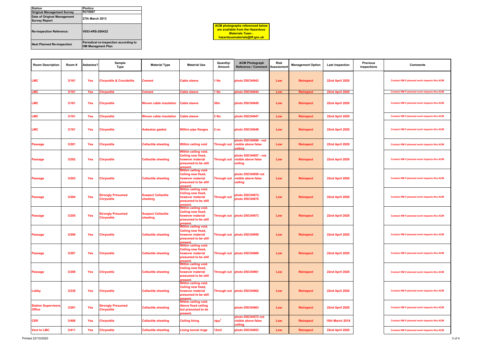| <b>Station</b>                                      | Pimlico                                                           |
|-----------------------------------------------------|-------------------------------------------------------------------|
| <b>Original Management Survey</b>                   | R370097                                                           |
| Date of Original Management<br><b>Survey Report</b> | <b>27th March 2013</b>                                            |
| <b>Re-inspection Reference:</b>                     | V053-4RS-200422                                                   |
| <b>Next Planned Re-inspection</b>                   | Periodical re-inspection according to<br><b>HM Managment Plan</b> |

| <b>ACM</b> photographs referenced below |
|-----------------------------------------|
| are available from the Hazardous        |
| <b>Materials Team -</b>                 |
| hazardousmaterials@tfl.gov.uk           |

| <b>Room Description</b>                     | Room # | Asbestos?  | Sample<br>Type                                | <b>Material Type</b>                  | <b>Material Use</b>                                                                                       | Quantity/<br>Amount | <b>ACM Photograph</b><br>Reference / Comment                       | Risk<br>Assessment | <b>Management Option</b> | Last inspection        | <b>Previous</b><br>inspections | <b>Comments</b>                                    |
|---------------------------------------------|--------|------------|-----------------------------------------------|---------------------------------------|-----------------------------------------------------------------------------------------------------------|---------------------|--------------------------------------------------------------------|--------------------|--------------------------|------------------------|--------------------------------|----------------------------------------------------|
| _MC                                         | 3/161  | <b>Yes</b> | <b>Chrysotile &amp; Crocidolite</b>           | <b>Cement</b>                         | <b>Cable sleeve</b>                                                                                       | 1 No                | photo DSC04943                                                     | Low                | <b>Reinspect</b>         | <b>22nd April 2020</b> |                                | Contact HM if planned work impacts this ACM        |
| <b>LMC</b>                                  | 3/161  | <b>Yes</b> | Chrysotile                                    | <b>Cement</b>                         | <b>Cable sleeve</b>                                                                                       | 1 No                | photo DSC04944                                                     | Low                | <b>Reinspect</b>         | <b>22nd April 2020</b> |                                | Contact HM if planned work impacts this ACM        |
| <b>LMC</b>                                  | 3/161  | Yes        | <b>Chrysotile</b>                             | <b>Woven cable insulation</b>         | <b>Cable sleeve</b>                                                                                       | 30 <sub>m</sub>     | photo DSC04945                                                     | Low                | <b>Reinspect</b>         | <b>22nd April 2020</b> |                                | <b>Contact HM if planned work impacts this ACM</b> |
| <b>LMC</b>                                  | 3/161  | <b>Yes</b> | <b>Chrysotile</b>                             | <b>Woven cable insulation</b>         | <b>Cable sleeve</b>                                                                                       | 2 No.               | photo DSC04947                                                     | Low                | <b>Reinspect</b>         | 22nd April 2020        |                                | Contact HM if planned work impacts this ACM        |
| _MC                                         | 3/161  | <b>Yes</b> | <b>Chrysotile</b>                             | <b>Asbestos gasket</b>                | <b>Within pipe flanges</b>                                                                                | 2 <sub>no</sub>     | photo DSC04948                                                     | Low                | <b>Reinspect</b>         | <b>22nd April 2020</b> |                                | Contact HM if planned work impacts this ACM        |
| Passage                                     | 3/201  | <b>Yes</b> | <b>Chrysotile</b>                             | <b>Cellactite sheeting</b>            | <b>Within ceiling void</b>                                                                                | <b>Through out</b>  | photo DSC04956 - not<br>visible above false<br>ceiling             | Low                | <b>Reinspect</b>         | <b>22nd April 2020</b> |                                | Contact HM if planned work impacts this ACM        |
| Passage                                     | 3/202  | <b>Yes</b> | <b>Chrysotile</b>                             | <b>Cellactite sheeting</b>            | <b>Within ceiling void.</b><br>Ceiling now fixed,<br>however material<br>presumed to be still<br>present. |                     | photo DSC04957 - not<br>Through out visible above false<br>ceiling | Low                | <b>Reinspect</b>         | <b>22nd April 2020</b> |                                | Contact HM if planned work impacts this ACM        |
| <b>Passage</b>                              | 3/203  | Yes        | Chrysotile                                    | <b>Cellactite sheeting</b>            | Within ceiling void.<br>Ceiling now fixed,<br>however material<br>presumed to be still<br>present         |                     | photo DSC04958 not<br>Through out visible above false<br>ceiling   | Low                | <b>Reinspect</b>         | <b>22nd April 2020</b> |                                | Contact HM if planned work impacts this ACM        |
| <b>Passage</b>                              | 3/204  | Yes        | <b>Strongly Presumed</b><br><b>Chrysotile</b> | <b>Suspect Cellactite</b><br>sheeting | Within ceiling void.<br>Ceiling now fixed,<br>however material<br>presumed to be still<br>present         | <b>Through out</b>  | photo DSC04972.<br>photo DSC04976                                  | Low                | <b>Reinspect</b>         | 22nd April 2020        |                                | Contact HM if planned work impacts this ACM        |
| Passage                                     | 3/205  | Yes        | <b>Strongly Presumed</b><br><b>Chrysotile</b> | <b>Suspect Cellactite</b><br>sheeting | Within ceiling void.<br>Ceiling now fixed,<br>however material<br>presumed to be still<br>present         |                     | Through out photo DSC04973                                         | Low                | <b>Reinspect</b>         | <b>22nd April 2020</b> |                                | Contact HM if planned work impacts this ACM        |
| Passage                                     | 3/206  | <b>Yes</b> | <b>Chrysotile</b>                             | <b>Cellactite sheeting</b>            | Within ceiling void.<br><b>Ceiling now fixed,</b><br>however material<br>presumed to be still<br>present. |                     | Through out photo DSC04959                                         | Low                | <b>Reinspect</b>         | <b>22nd April 2020</b> |                                | Contact HM if planned work impacts this ACM        |
| <b>Passage</b>                              | 3/207  | <b>Yes</b> | <b>Chrysotile</b>                             | <b>Cellactite sheeting</b>            | Within ceiling void.<br>Ceiling now fixed,<br>however material<br>presumed to be still<br>present.        |                     | Through out photo DSC04960                                         | Low                | Reinspect                | <b>22nd April 2020</b> |                                | Contact HM if planned work impacts this ACM        |
| <b>Passage</b>                              | 3/208  | <b>Yes</b> | <b>Chrysotile</b>                             | <b>Cellactite sheeting</b>            | Within ceiling void.<br>Ceiling now fixed,<br>however material<br>presumed to be still<br>present.        |                     | Through out photo DSC04961                                         | Low                | <b>Reinspect</b>         | <b>22nd April 2020</b> |                                | Contact HM if planned work impacts this ACM        |
| Lobby                                       | 3/236  | Yes        | <b>Chrysotile</b>                             | <b>Cellactite sheeting</b>            | Within ceiling void.<br>Ceiling now fixed,<br>however material<br>presumed to be still<br>present.        |                     | Through out photo DSC04962                                         | Low                | <b>Reinspect</b>         | <b>22nd April 2020</b> |                                | Contact HM if planned work impacts this ACM        |
| <b>Station Supervisors</b><br><b>Office</b> | 3/281  | Yes        | <b>Strongly Presumed</b><br><b>Chrysotile</b> | <b>Cellactite sheeting</b>            | Within ceiling void.<br><b>Above fixed ceiling</b><br>but presumed to be<br>present.                      |                     | photo DSC04963                                                     | Low                | <b>Reinspect</b>         | 22nd April 2020        |                                | Contact HM if planned work impacts this ACM        |
| <b>CER</b>                                  | 3/406  | <b>Yes</b> | <b>Chrysotile</b>                             | <b>Cellactite sheeting</b>            | <b>Ceiling lining</b>                                                                                     | 16m <sup>2</sup>    | photo DSC04572 not<br>visible above false<br>ceiling               | Low                | Reinspect                | <b>15th March 2018</b> |                                | Contact HM if planned work impacts this ACM        |
| <b>Vent to LMC</b>                          | 3/411  | Yes        | <b>Chrysotile</b>                             | <b>Cellactite sheeting</b>            | <b>Lining tunnel rings</b>                                                                                | 12m2                | photo DSC04953                                                     | Low                | Reinspect                | <b>22nd April 2020</b> |                                | Contact HM if planned work impacts this ACM        |

Printed 22/10/2020 3 of 4

| revious<br>pections | <b>Comments</b>                             |
|---------------------|---------------------------------------------|
|                     | Contact HM if planned work impacts this ACM |
|                     | Contact HM if planned work impacts this ACM |
|                     | Contact HM if planned work impacts this ACM |
|                     | Contact HM if planned work impacts this ACM |
|                     | Contact HM if planned work impacts this ACM |
|                     | Contact HM if planned work impacts this ACM |
|                     | Contact HM if planned work impacts this ACM |
|                     | Contact HM if planned work impacts this ACM |
|                     | Contact HM if planned work impacts this ACM |
|                     | Contact HM if planned work impacts this ACM |
|                     | Contact HM if planned work impacts this ACM |
|                     | Contact HM if planned work impacts this ACM |
|                     | Contact HM if planned work impacts this ACM |
|                     | Contact HM if planned work impacts this ACM |
|                     | Contact HM if planned work impacts this ACM |
|                     | Contact HM if planned work impacts this ACM |
|                     | Contact HM if planned work impacts this ACM |